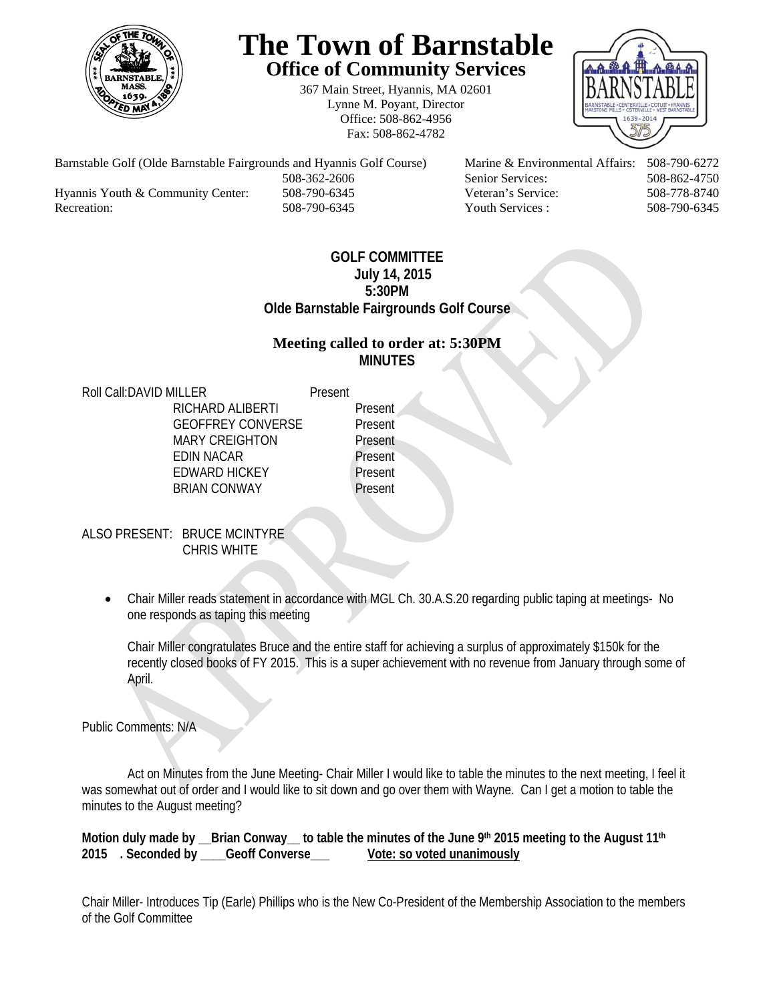

# **The Town of Barnstable Office of Community Services**

367 Main Street, Hyannis, MA 02601 Lynne M. Poyant, Director Office: 508-862-4956 Fax: 508-862-4782



Barnstable Golf (Olde Barnstable Fairgrounds and Hyannis Golf Course) Marine & Environmental Affairs: 508-790-6272 508-362-2606 Senior Services: 508-862-4750 Hyannis Youth & Community Center: 508-790-6345 Veteran's Service: 508-778-8740 Recreation: 508-790-6345 Youth Services : 508-790-6345 S08-790-6345

# **GOLF COMMITTEE July 14, 2015 5:30PM Olde Barnstable Fairgrounds Golf Course**

# **Meeting called to order at: 5:30PM MINUTES**

Roll Call: DAVID MILLER Present

RICHARD ALIBERTI Present GEOFFREY CONVERSE Present MARY CREIGHTON Present EDIN NACAR Present EDWARD HICKEY Present BRIAN CONWAY Present

ALSO PRESENT: BRUCE MCINTYRE CHRIS WHITE

> Chair Miller reads statement in accordance with MGL Ch. 30.A.S.20 regarding public taping at meetings- No one responds as taping this meeting

Chair Miller congratulates Bruce and the entire staff for achieving a surplus of approximately \$150k for the recently closed books of FY 2015. This is a super achievement with no revenue from January through some of April.

Public Comments: N/A

 Act on Minutes from the June Meeting- Chair Miller I would like to table the minutes to the next meeting, I feel it was somewhat out of order and I would like to sit down and go over them with Wayne. Can I get a motion to table the minutes to the August meeting?

Motion duly made by \_\_Brian Conway\_\_ to table the minutes of the June 9<sup>th</sup> 2015 meeting to the August 11<sup>th</sup> **2015 . Seconded by \_\_\_\_Geoff Converse\_\_\_ Vote: so voted unanimously** 

Chair Miller- Introduces Tip (Earle) Phillips who is the New Co-President of the Membership Association to the members of the Golf Committee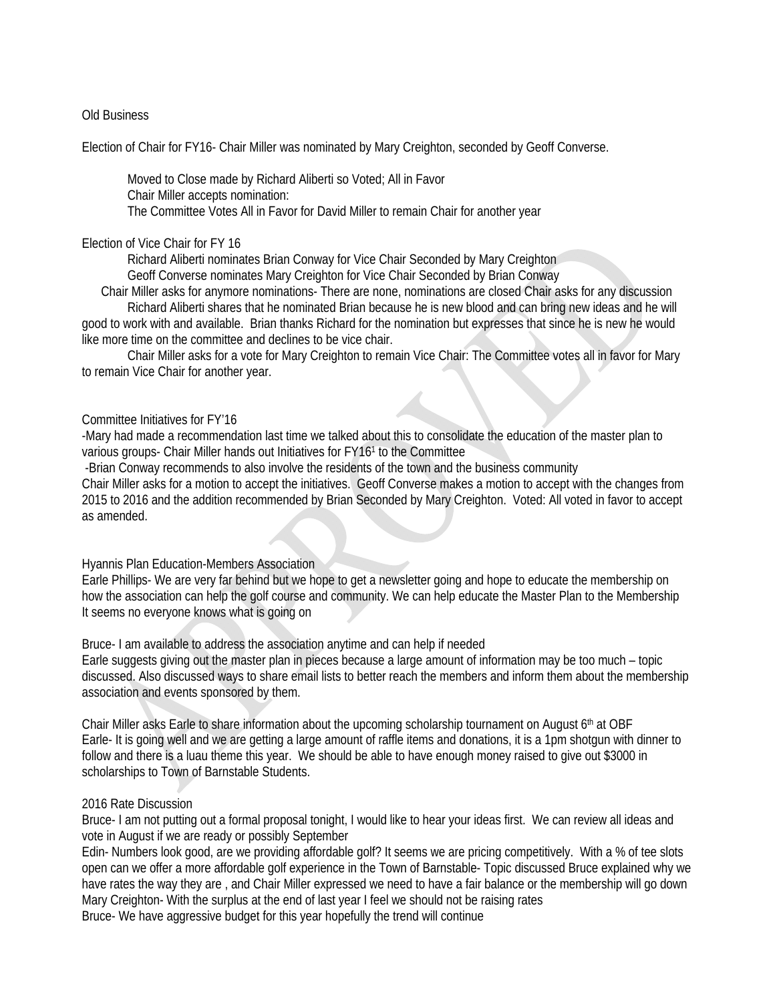# Old Business

Election of Chair for FY16- Chair Miller was nominated by Mary Creighton, seconded by Geoff Converse.

 Moved to Close made by Richard Aliberti so Voted; All in Favor Chair Miller accepts nomination: The Committee Votes All in Favor for David Miller to remain Chair for another year

#### Election of Vice Chair for FY 16

Richard Aliberti nominates Brian Conway for Vice Chair Seconded by Mary Creighton

Geoff Converse nominates Mary Creighton for Vice Chair Seconded by Brian Conway

Chair Miller asks for anymore nominations- There are none, nominations are closed Chair asks for any discussion

 Richard Aliberti shares that he nominated Brian because he is new blood and can bring new ideas and he will good to work with and available. Brian thanks Richard for the nomination but expresses that since he is new he would like more time on the committee and declines to be vice chair.

 Chair Miller asks for a vote for Mary Creighton to remain Vice Chair: The Committee votes all in favor for Mary to remain Vice Chair for another year.

#### Committee Initiatives for FY'16

-Mary had made a recommendation last time we talked about this to consolidate the education of the master plan to various groups- Chair Miller hands out Initiatives for FY161 to the Committee

-Brian Conway recommends to also involve the residents of the town and the business community

Chair Miller asks for a motion to accept the initiatives. Geoff Converse makes a motion to accept with the changes from 2015 to 2016 and the addition recommended by Brian Seconded by Mary Creighton. Voted: All voted in favor to accept as amended.

# Hyannis Plan Education-Members Association

Earle Phillips- We are very far behind but we hope to get a newsletter going and hope to educate the membership on how the association can help the golf course and community. We can help educate the Master Plan to the Membership It seems no everyone knows what is going on

Bruce- I am available to address the association anytime and can help if needed

Earle suggests giving out the master plan in pieces because a large amount of information may be too much – topic discussed. Also discussed ways to share email lists to better reach the members and inform them about the membership association and events sponsored by them.

Chair Miller asks Earle to share information about the upcoming scholarship tournament on August 6th at OBF Earle- It is going well and we are getting a large amount of raffle items and donations, it is a 1pm shotgun with dinner to follow and there is a luau theme this year. We should be able to have enough money raised to give out \$3000 in scholarships to Town of Barnstable Students.

# 2016 Rate Discussion

Bruce- I am not putting out a formal proposal tonight, I would like to hear your ideas first. We can review all ideas and vote in August if we are ready or possibly September

Edin- Numbers look good, are we providing affordable golf? It seems we are pricing competitively. With a % of tee slots open can we offer a more affordable golf experience in the Town of Barnstable- Topic discussed Bruce explained why we have rates the way they are , and Chair Miller expressed we need to have a fair balance or the membership will go down Mary Creighton- With the surplus at the end of last year I feel we should not be raising rates Bruce- We have aggressive budget for this year hopefully the trend will continue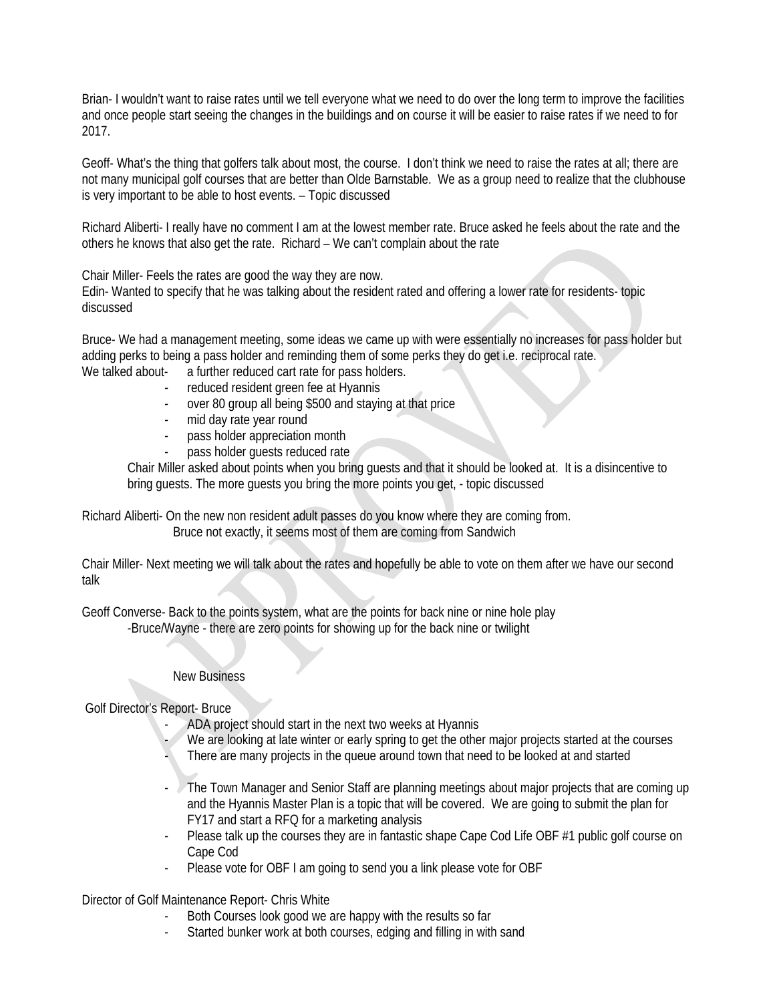Brian- I wouldn't want to raise rates until we tell everyone what we need to do over the long term to improve the facilities and once people start seeing the changes in the buildings and on course it will be easier to raise rates if we need to for 2017.

Geoff- What's the thing that golfers talk about most, the course. I don't think we need to raise the rates at all; there are not many municipal golf courses that are better than Olde Barnstable. We as a group need to realize that the clubhouse is very important to be able to host events. – Topic discussed

Richard Aliberti- I really have no comment I am at the lowest member rate. Bruce asked he feels about the rate and the others he knows that also get the rate. Richard – We can't complain about the rate

Chair Miller- Feels the rates are good the way they are now.

Edin- Wanted to specify that he was talking about the resident rated and offering a lower rate for residents- topic discussed

Bruce- We had a management meeting, some ideas we came up with were essentially no increases for pass holder but adding perks to being a pass holder and reminding them of some perks they do get i.e. reciprocal rate.

- We talked about- a further reduced cart rate for pass holders.
	- reduced resident green fee at Hyannis
	- over 80 group all being \$500 and staying at that price
	- mid day rate year round
	- pass holder appreciation month
	- pass holder quests reduced rate

Chair Miller asked about points when you bring guests and that it should be looked at. It is a disincentive to bring guests. The more guests you bring the more points you get, - topic discussed

Richard Aliberti- On the new non resident adult passes do you know where they are coming from. Bruce not exactly, it seems most of them are coming from Sandwich

Chair Miller- Next meeting we will talk about the rates and hopefully be able to vote on them after we have our second talk

Geoff Converse- Back to the points system, what are the points for back nine or nine hole play -Bruce/Wayne - there are zero points for showing up for the back nine or twilight

# New Business

Golf Director's Report- Bruce

- ADA project should start in the next two weeks at Hyannis
- We are looking at late winter or early spring to get the other major projects started at the courses
- There are many projects in the queue around town that need to be looked at and started
- The Town Manager and Senior Staff are planning meetings about major projects that are coming up and the Hyannis Master Plan is a topic that will be covered. We are going to submit the plan for FY17 and start a RFQ for a marketing analysis
- Please talk up the courses they are in fantastic shape Cape Cod Life OBF #1 public golf course on Cape Cod
- Please vote for OBF I am going to send you a link please vote for OBF

Director of Golf Maintenance Report- Chris White

- Both Courses look good we are happy with the results so far
- Started bunker work at both courses, edging and filling in with sand